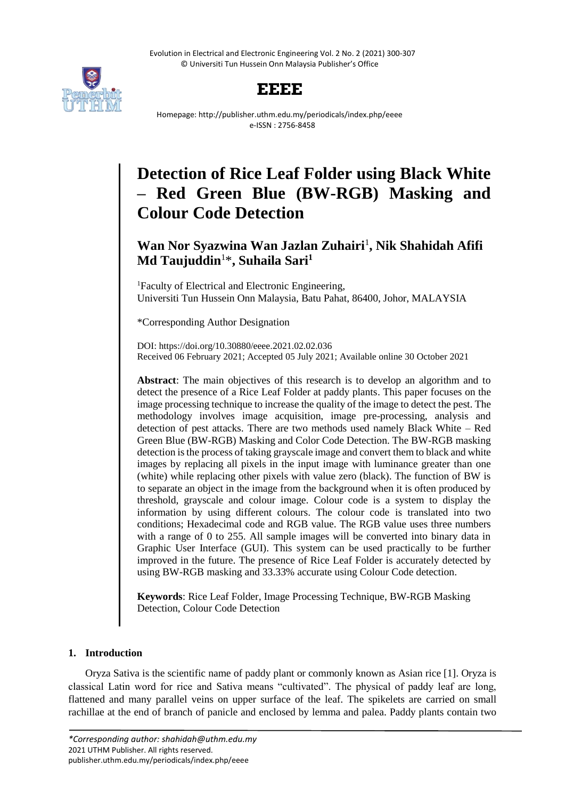Evolution in Electrical and Electronic Engineering Vol. 2 No. 2 (2021) 300-307 © Universiti Tun Hussein Onn Malaysia Publisher's Office





Homepage: http://publisher.uthm.edu.my/periodicals/index.php/eeee e-ISSN : 2756-8458

# **Detection of Rice Leaf Folder using Black White – Red Green Blue (BW-RGB) Masking and Colour Code Detection**

## Wan Nor Syazwina Wan Jazlan Zuhairi<sup>1</sup>, Nik Shahidah Afifi **Md Taujuddin**<sup>1</sup>\* **, Suhaila Sari<sup>1</sup>**

<sup>1</sup>Faculty of Electrical and Electronic Engineering. Universiti Tun Hussein Onn Malaysia, Batu Pahat, 86400, Johor, MALAYSIA

\*Corresponding Author Designation

DOI: https://doi.org/10.30880/eeee.2021.02.02.036 Received 06 February 2021; Accepted 05 July 2021; Available online 30 October 2021

**Abstract**: The main objectives of this research is to develop an algorithm and to detect the presence of a Rice Leaf Folder at paddy plants. This paper focuses on the image processing technique to increase the quality of the image to detect the pest. The methodology involves image acquisition, image pre-processing, analysis and detection of pest attacks. There are two methods used namely Black White – Red Green Blue (BW-RGB) Masking and Color Code Detection. The BW-RGB masking detection is the process of taking grayscale image and convert them to black and white images by replacing all pixels in the input image with luminance greater than one (white) while replacing other pixels with value zero (black). The function of BW is to separate an object in the image from the background when it is often produced by threshold, grayscale and colour image. Colour code is a system to display the information by using different colours. The colour code is translated into two conditions; Hexadecimal code and RGB value. The RGB value uses three numbers with a range of 0 to 255. All sample images will be converted into binary data in Graphic User Interface (GUI). This system can be used practically to be further improved in the future. The presence of Rice Leaf Folder is accurately detected by using BW-RGB masking and 33.33% accurate using Colour Code detection.

**Keywords**: Rice Leaf Folder, Image Processing Technique, BW-RGB Masking Detection, Colour Code Detection

### **1. Introduction**

Oryza Sativa is the scientific name of paddy plant or commonly known as Asian rice [1]. Oryza is classical Latin word for rice and Sativa means "cultivated". The physical of paddy leaf are long, flattened and many parallel veins on upper surface of the leaf. The spikelets are carried on small rachillae at the end of branch of panicle and enclosed by lemma and palea. Paddy plants contain two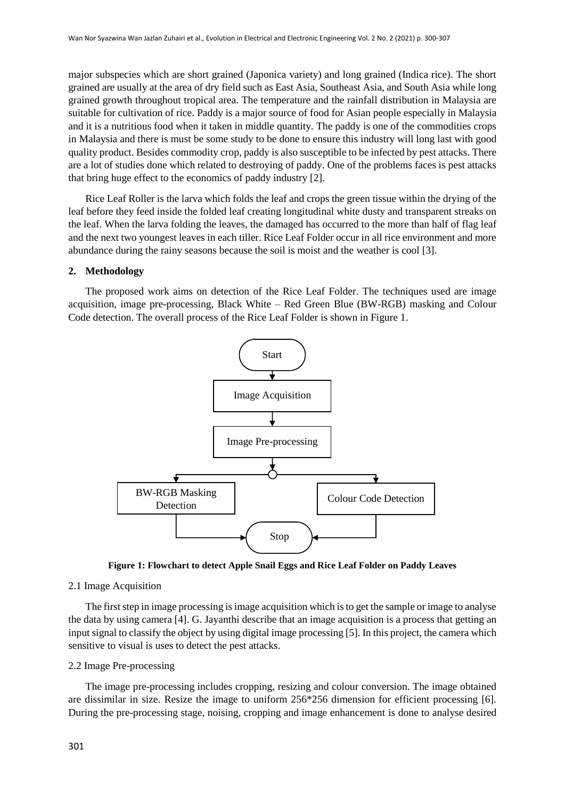major subspecies which are short grained (Japonica variety) and long grained (Indica rice). The short grained are usually at the area of dry field such as East Asia, Southeast Asia, and South Asia while long grained growth throughout tropical area. The temperature and the rainfall distribution in Malaysia are suitable for cultivation of rice. Paddy is a major source of food for Asian people especially in Malaysia and it is a nutritious food when it taken in middle quantity. The paddy is one of the commodities crops in Malaysia and there is must be some study to be done to ensure this industry will long last with good quality product. Besides commodity crop, paddy is also susceptible to be infected by pest attacks. There are a lot of studies done which related to destroying of paddy. One of the problems faces is pest attacks that bring huge effect to the economics of paddy industry [2].

Rice Leaf Roller is the larva which folds the leaf and crops the green tissue within the drying of the leaf before they feed inside the folded leaf creating longitudinal white dusty and transparent streaks on the leaf. When the larva folding the leaves, the damaged has occurred to the more than half of flag leaf and the next two youngest leaves in each tiller. Rice Leaf Folder occur in all rice environment and more abundance during the rainy seasons because the soil is moist and the weather is cool [3].

#### **2. Methodology**

The proposed work aims on detection of the Rice Leaf Folder. The techniques used are image acquisition, image pre-processing, Black White – Red Green Blue (BW-RGB) masking and Colour Code detection. The overall process of the Rice Leaf Folder is shown in Figure 1.



**Figure 1: Flowchart to detect Apple Snail Eggs and Rice Leaf Folder on Paddy Leaves**

#### 2.1 Image Acquisition

The first step in image processing is image acquisition which is to get the sample or image to analyse the data by using camera [4]. G. Jayanthi describe that an image acquisition is a process that getting an input signal to classify the object by using digital image processing [5]. In this project, the camera which sensitive to visual is uses to detect the pest attacks.

#### 2.2 Image Pre-processing

The image pre-processing includes cropping, resizing and colour conversion. The image obtained are dissimilar in size. Resize the image to uniform 256\*256 dimension for efficient processing [6]. During the pre-processing stage, noising, cropping and image enhancement is done to analyse desired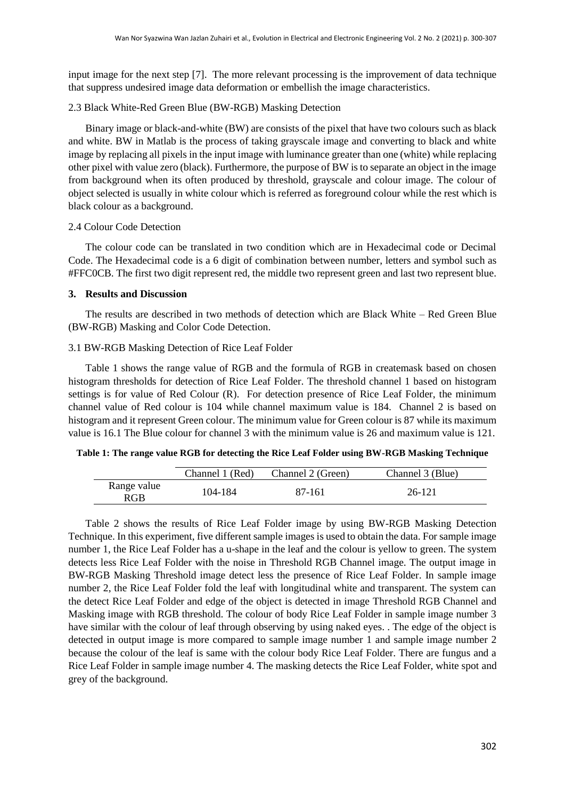input image for the next step [7]. The more relevant processing is the improvement of data technique that suppress undesired image data deformation or embellish the image characteristics.

#### 2.3 Black White-Red Green Blue (BW-RGB) Masking Detection

Binary image or black-and-white (BW) are consists of the pixel that have two colours such as black and white. BW in Matlab is the process of taking grayscale image and converting to black and white image by replacing all pixels in the input image with luminance greater than one (white) while replacing other pixel with value zero (black). Furthermore, the purpose of BW is to separate an object in the image from background when its often produced by threshold, grayscale and colour image. The colour of object selected is usually in white colour which is referred as foreground colour while the rest which is black colour as a background.

#### 2.4 Colour Code Detection

The colour code can be translated in two condition which are in Hexadecimal code or Decimal Code. The Hexadecimal code is a 6 digit of combination between number, letters and symbol such as #FFC0CB. The first two digit represent red, the middle two represent green and last two represent blue.

#### **3. Results and Discussion**

The results are described in two methods of detection which are Black White – Red Green Blue (BW-RGB) Masking and Color Code Detection.

#### 3.1 BW-RGB Masking Detection of Rice Leaf Folder

Table 1 shows the range value of RGB and the formula of RGB in createmask based on chosen histogram thresholds for detection of Rice Leaf Folder. The threshold channel 1 based on histogram settings is for value of Red Colour (R). For detection presence of Rice Leaf Folder, the minimum channel value of Red colour is 104 while channel maximum value is 184. Channel 2 is based on histogram and it represent Green colour. The minimum value for Green colour is 87 while its maximum value is 16.1 The Blue colour for channel 3 with the minimum value is 26 and maximum value is 121.

#### **Table 1: The range value RGB for detecting the Rice Leaf Folder using BW-RGB Masking Technique**

|                    | Channel 1 (Red) | Channel 2 (Green) | Channel 3 (Blue) |
|--------------------|-----------------|-------------------|------------------|
| Range value<br>RGB | 104-184         | 87-161            | 26-121           |

Table 2 shows the results of Rice Leaf Folder image by using BW-RGB Masking Detection Technique. In this experiment, five different sample images is used to obtain the data. For sample image number 1, the Rice Leaf Folder has a u-shape in the leaf and the colour is yellow to green. The system detects less Rice Leaf Folder with the noise in Threshold RGB Channel image. The output image in BW-RGB Masking Threshold image detect less the presence of Rice Leaf Folder. In sample image number 2, the Rice Leaf Folder fold the leaf with longitudinal white and transparent. The system can the detect Rice Leaf Folder and edge of the object is detected in image Threshold RGB Channel and Masking image with RGB threshold. The colour of body Rice Leaf Folder in sample image number 3 have similar with the colour of leaf through observing by using naked eyes. . The edge of the object is detected in output image is more compared to sample image number 1 and sample image number 2 because the colour of the leaf is same with the colour body Rice Leaf Folder. There are fungus and a Rice Leaf Folder in sample image number 4. The masking detects the Rice Leaf Folder, white spot and grey of the background.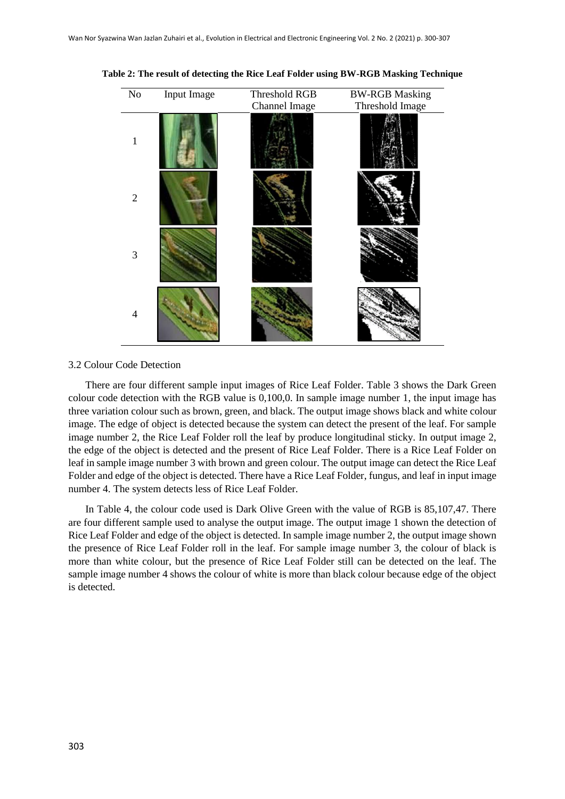| $\rm No$       | Input Image | Threshold RGB<br>Channel Image | <b>BW-RGB Masking</b><br>Threshold Image |
|----------------|-------------|--------------------------------|------------------------------------------|
| 1              |             |                                |                                          |
| $\overline{2}$ |             |                                |                                          |
| 3              |             |                                |                                          |
| 4              |             |                                |                                          |

**Table 2: The result of detecting the Rice Leaf Folder using BW-RGB Masking Technique**

#### 3.2 Colour Code Detection

There are four different sample input images of Rice Leaf Folder. Table 3 shows the Dark Green colour code detection with the RGB value is 0,100,0. In sample image number 1, the input image has three variation colour such as brown, green, and black. The output image shows black and white colour image. The edge of object is detected because the system can detect the present of the leaf. For sample image number 2, the Rice Leaf Folder roll the leaf by produce longitudinal sticky. In output image 2, the edge of the object is detected and the present of Rice Leaf Folder. There is a Rice Leaf Folder on leaf in sample image number 3 with brown and green colour. The output image can detect the Rice Leaf Folder and edge of the object is detected. There have a Rice Leaf Folder, fungus, and leaf in input image number 4. The system detects less of Rice Leaf Folder.

In Table 4, the colour code used is Dark Olive Green with the value of RGB is 85,107,47. There are four different sample used to analyse the output image. The output image 1 shown the detection of Rice Leaf Folder and edge of the object is detected. In sample image number 2, the output image shown the presence of Rice Leaf Folder roll in the leaf. For sample image number 3, the colour of black is more than white colour, but the presence of Rice Leaf Folder still can be detected on the leaf. The sample image number 4 shows the colour of white is more than black colour because edge of the object is detected.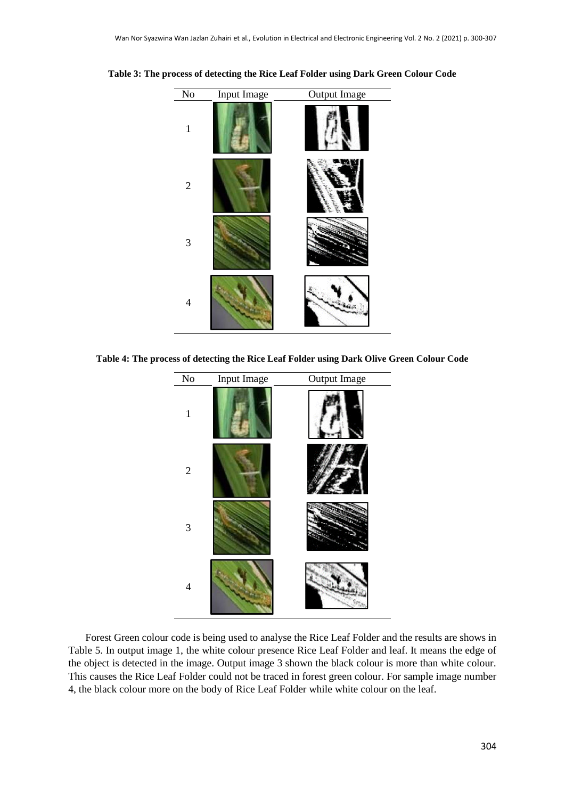

**Table 3: The process of detecting the Rice Leaf Folder using Dark Green Colour Code**

**Table 4: The process of detecting the Rice Leaf Folder using Dark Olive Green Colour Code**



Forest Green colour code is being used to analyse the Rice Leaf Folder and the results are shows in Table 5. In output image 1, the white colour presence Rice Leaf Folder and leaf. It means the edge of the object is detected in the image. Output image 3 shown the black colour is more than white colour. This causes the Rice Leaf Folder could not be traced in forest green colour. For sample image number 4, the black colour more on the body of Rice Leaf Folder while white colour on the leaf.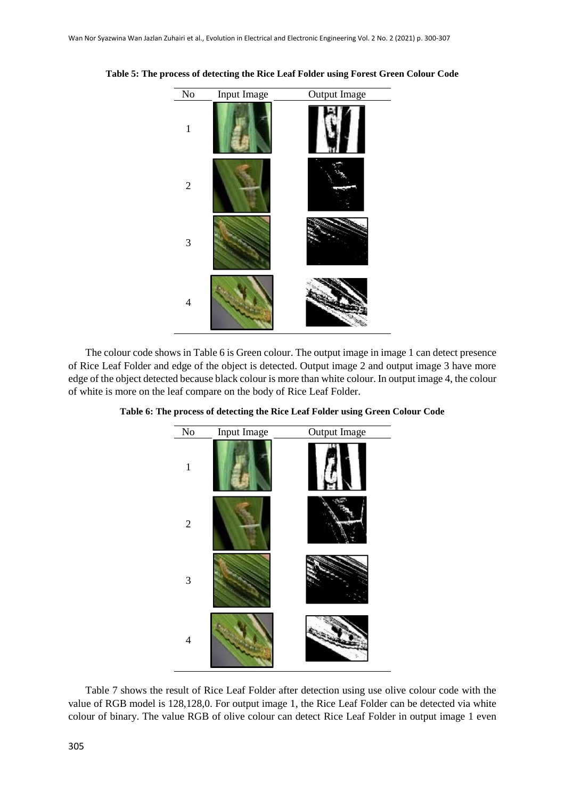

**Table 5: The process of detecting the Rice Leaf Folder using Forest Green Colour Code**

The colour code shows in Table 6 is Green colour. The output image in image 1 can detect presence of Rice Leaf Folder and edge of the object is detected. Output image 2 and output image 3 have more edge of the object detected because black colour is more than white colour. In output image 4, the colour of white is more on the leaf compare on the body of Rice Leaf Folder.



**Table 6: The process of detecting the Rice Leaf Folder using Green Colour Code**

Table 7 shows the result of Rice Leaf Folder after detection using use olive colour code with the value of RGB model is 128,128,0. For output image 1, the Rice Leaf Folder can be detected via white colour of binary. The value RGB of olive colour can detect Rice Leaf Folder in output image 1 even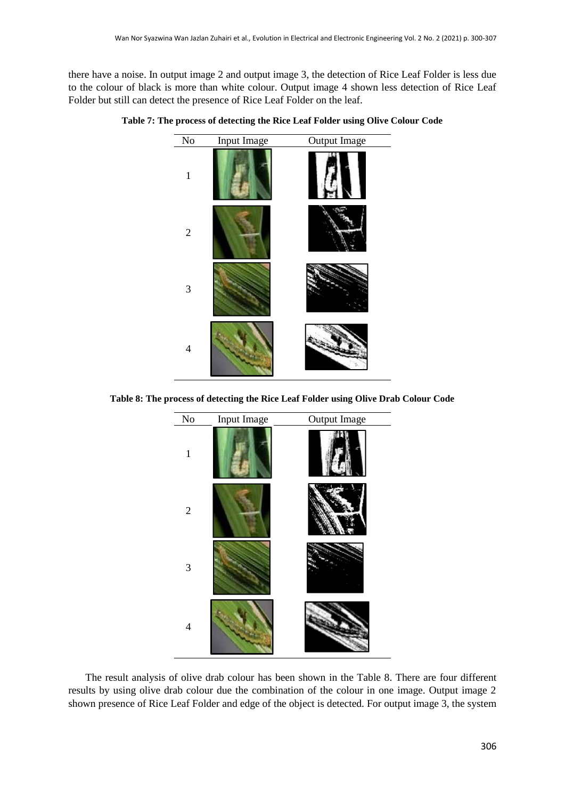there have a noise. In output image 2 and output image 3, the detection of Rice Leaf Folder is less due to the colour of black is more than white colour. Output image 4 shown less detection of Rice Leaf Folder but still can detect the presence of Rice Leaf Folder on the leaf.



**Table 7: The process of detecting the Rice Leaf Folder using Olive Colour Code**

**Table 8: The process of detecting the Rice Leaf Folder using Olive Drab Colour Code**



The result analysis of olive drab colour has been shown in the Table 8. There are four different results by using olive drab colour due the combination of the colour in one image. Output image 2 shown presence of Rice Leaf Folder and edge of the object is detected. For output image 3, the system